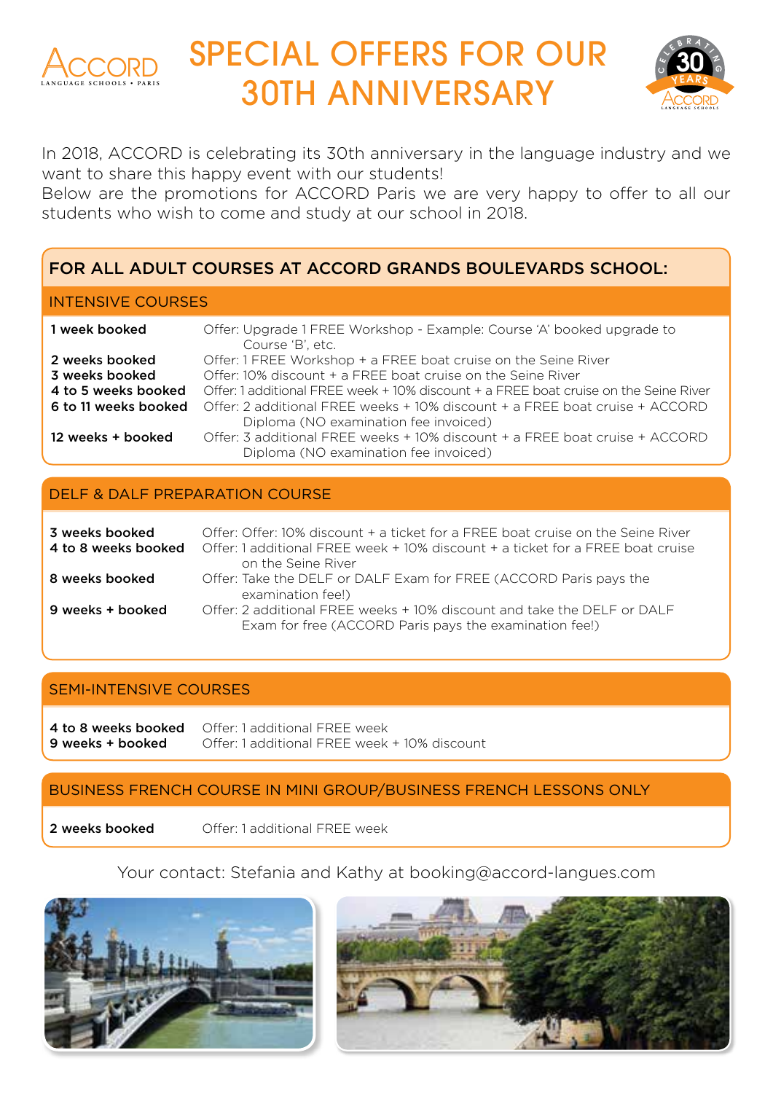

# SPECIAL OFFERS FOR OUR CONTROLL OF STREET AND THE BRIDGE STREET AND THE BRIDGE STREET AND THE BRIDGE STREET AN



In 2018, ACCORD is celebrating its 30th anniversary in the language industry and we want to share this happy event with our students!

Below are the promotions for ACCORD Paris we are very happy to offer to all our students who wish to come and study at our school in 2018.

## FOR ALL ADULT COURSES AT ACCORD GRANDS BOULEVARDS SCHOOL:

#### INTENSIVE COURSES

| 1 week booked        | Offer: Upgrade 1 FREE Workshop - Example: Course 'A' booked upgrade to<br>Course 'B', etc.                           |
|----------------------|----------------------------------------------------------------------------------------------------------------------|
| 2 weeks booked       | Offer: 1 FREE Workshop + a FREE boat cruise on the Seine River                                                       |
| 3 weeks booked       | Offer: $10\%$ discount $+$ a EREE boat cruise on the Seine River                                                     |
| 4 to 5 weeks booked  | Offer: 1 additional EREE week + 10% discount + a EREE boat cruise on the Seine River                                 |
| 6 to 11 weeks booked | Offer: 2 additional FREE weeks + 10% discount + a FREE boat cruise + ACCORD                                          |
|                      | Diploma (NO examination fee invoiced)                                                                                |
| 12 weeks + booked    | Offer: 3 additional FREE weeks + 10% discount + a FREE boat cruise + ACCORD<br>Diploma (NO examination fee invoiced) |

### DELF & DALF PREPARATION COURSE

| 3 weeks booked<br>4 to 8 weeks booked | Offer: Offer: 10% discount + a ticket for a EREE boat cruise on the Seine River<br>Offer: 1 additional FREE week + 10% discount + a ticket for a FREE boat cruise<br>on the Seine River |
|---------------------------------------|-----------------------------------------------------------------------------------------------------------------------------------------------------------------------------------------|
| 8 weeks booked                        | Offer: Take the DELF or DALF Exam for FREE (ACCORD Paris pays the<br>examination fee!)                                                                                                  |
| 9 weeks + booked                      | Offer: 2 additional FREE weeks + 10% discount and take the DELF or DALF<br>Exam for free (ACCORD Paris pays the examination fee!)                                                       |

### SEMI-INTENSIVE COURSES

4 to 8 weeks booked Offer: 1 additional FREE week 9 weeks + booked Offer: 1 additional FRFE week + 10% discount

## BUSINESS FRENCH COURSE IN MINI GROUP/BUSINESS FRENCH LESSONS ONLY

2 weeks booked Offer: 1 additional FREE week

## Your contact: Stefania and Kathy at booking@accord-langues.com